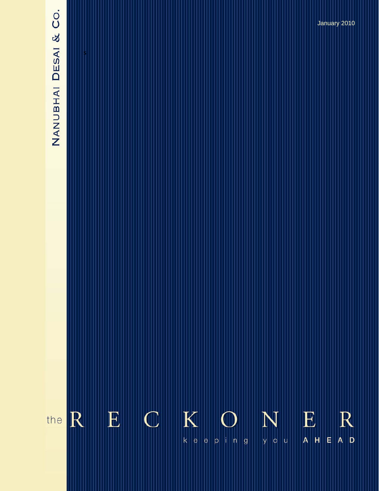# NANUBHAI DESAI & CO.

 $K$  ${\bf E}$  $\mathbb{C}$ E  $R$ R N the  $\mathsf{k} \parallel \mathsf{e} \parallel$  $|\mathsf{e}|$ y o u  $A$   $H$  $\vert$ e  $p \mid n \mid g$ 

January 2010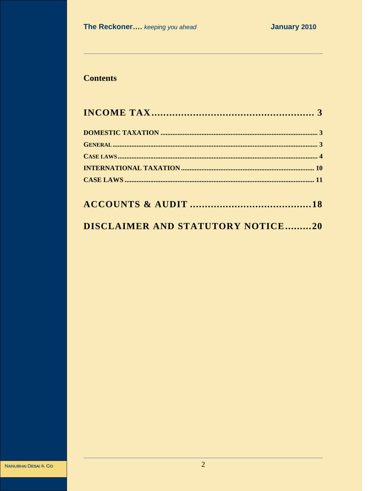# **Contents**

# **DISCLAIMER AND STATUTORY NOTICE.........20**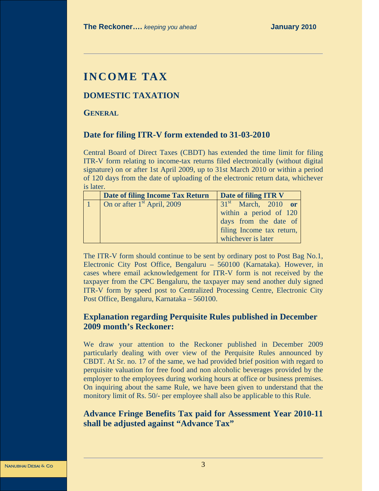# **INCOME TAX**

# **DOMESTIC TAXATION**

**GENERAL**

# **Date for filing ITR-V form extended to 31-03-2010**

Central Board of Direct Taxes (CBDT) has extended the time limit for filing ITR-V form relating to income-tax returns filed electronically (without digital signature) on or after 1st April 2009, up to 31st March 2010 or within a period of 120 days from the date of uploading of the electronic return data, whichever is later.

| Date of filing Income Tax Return | Date of filing ITR V      |
|----------------------------------|---------------------------|
| On or after $1st$ April, 2009    | $31st$ March, 2010 or     |
|                                  | within a period of 120    |
|                                  | days from the date of     |
|                                  | filing Income tax return, |
|                                  | whichever is later        |

The ITR-V form should continue to be sent by ordinary post to Post Bag No.1, Electronic City Post Office, Bengaluru – 560100 (Karnataka). However, in cases where email acknowledgement for ITR-V form is not received by the taxpayer from the CPC Bengaluru, the taxpayer may send another duly signed ITR-V form by speed post to Centralized Processing Centre, Electronic City Post Office, Bengaluru, Karnataka – 560100.

# **Explanation regarding Perquisite Rules published in December 2009 month's Reckoner:**

We draw your attention to the Reckoner published in December 2009 particularly dealing with over view of the Perquisite Rules announced by CBDT. At Sr. no. 17 of the same, we had provided brief position with regard to perquisite valuation for free food and non alcoholic beverages provided by the employer to the employees during working hours at office or business premises. On inquiring about the same Rule, we have been given to understand that the monitory limit of Rs. 50/- per employee shall also be applicable to this Rule.

# **Advance Fringe Benefits Tax paid for Assessment Year 2010-11 shall be adjusted against "Advance Tax"**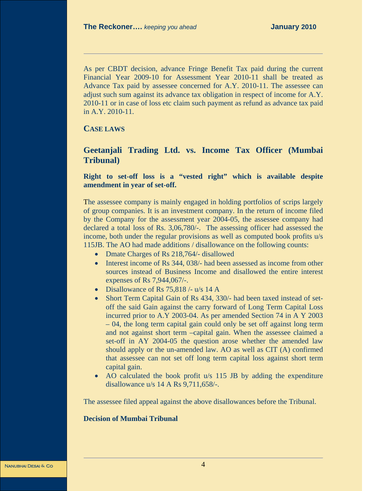As per CBDT decision, advance Fringe Benefit Tax paid during the current Financial Year 2009-10 for Assessment Year 2010-11 shall be treated as Advance Tax paid by assessee concerned for A.Y. 2010-11. The assessee can adjust such sum against its advance tax obligation in respect of income for A.Y. 2010-11 or in case of loss etc claim such payment as refund as advance tax paid in A.Y. 2010-11.

**CASE LAWS**

# **Geetanjali Trading Ltd. vs. Income Tax Officer (Mumbai Tribunal)**

**Right to set-off loss is a "vested right" which is available despite amendment in year of set-off.**

The assessee company is mainly engaged in holding portfolios of scrips largely of group companies. It is an investment company. In the return of income filed by the Company for the assessment year 2004-05, the assessee company had declared a total loss of Rs. 3,06,780/-. The assessing officer had assessed the income, both under the regular provisions as well as computed book profits u/s 115JB. The AO had made additions / disallowance on the following counts:

- Dmate Charges of Rs 218,764/- disallowed
- Interest income of Rs 344, 038/- had been assessed as income from other sources instead of Business Income and disallowed the entire interest expenses of Rs 7,944,067/-.
- Disallowance of Rs 75,818 /- u/s 14 A
- Short Term Capital Gain of Rs 434, 330/- had been taxed instead of setoff the said Gain against the carry forward of Long Term Capital Loss incurred prior to A.Y 2003-04. As per amended Section 74 in A Y 2003 – 04, the long term capital gain could only be set off against long term and not against short term –capital gain. When the assessee claimed a set-off in AY 2004-05 the question arose whether the amended law should apply or the un-amended law. AO as well as CIT (A) confirmed that assessee can not set off long term capital loss against short term capital gain.
- AO calculated the book profit u/s 115 JB by adding the expenditure disallowance u/s 14 A Rs 9,711,658/-.

The assessee filed appeal against the above disallowances before the Tribunal.

### **Decision of Mumbai Tribunal**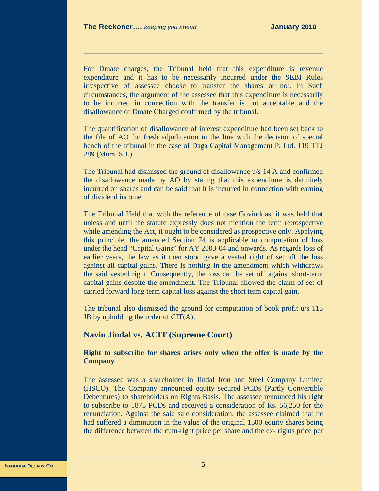For Dmate charges, the Tribunal held that this expenditure is revenue expenditure and it has to be necessarily incurred under the SEBI Rules irrespective of assessee choose to transfer the shares or not. In Such circumstances, the argument of the assessee that this expenditure is necessarily to be incurred in connection with the transfer is not acceptable and the disallowance of Dmate Charged confirmed by the tribunal.

The quantification of disallowance of interest expenditure had been set back to the file of AO for fresh adjudication in the line with the decision of special bench of the tribunal in the case of Daga Capital Management P. Ltd. 119 TTJ 289 (Mum. SB.)

The Tribunal had dismissed the ground of disallowance u/s 14 A and confirmed the disallowance made by AO by stating that this expenditure is definitely incurred on shares and can be said that it is incurred in connection with earning of dividend income.

The Tribunal Held that with the reference of case Govinddas, it was held that unless and until the statute expressly does not mention the term retrospective while amending the Act, it ought to be considered as prospective only. Applying this principle, the amended Section 74 is applicable to computation of loss under the head "Capital Gains" for AY 2003-04 and onwards. As regards loss of earlier years, the law as it then stood gave a vested right of set off the loss against all capital gains. There is nothing in the amendment which withdraws the said vested right. Consequently, the loss can be set off against short-term capital gains despite the amendment. The Tribunal allowed the claim of set of carried forward long term capital loss against the short term capital gain.

The tribunal also dismissed the ground for computation of book profit u/s 115 JB by upholding the order of CIT(A).

# **Navin Jindal vs. ACIT (Supreme Court)**

**Right to subscribe for shares arises only when the offer is made by the Company**

The assessee was a shareholder in Jindal Iron and Steel Company Limited (JISCO). The Company announced equity secured PCDs (Partly Convertible Debentures) to shareholders on Rights Basis. The assessee renounced his right to subscribe to 1875 PCDs and received a consideration of Rs. 56,250 for the renunciation. Against the said sale consideration, the assessee claimed that he had suffered a diminution in the value of the original 1500 equity shares being the difference between the cum-right price per share and the ex- rights price per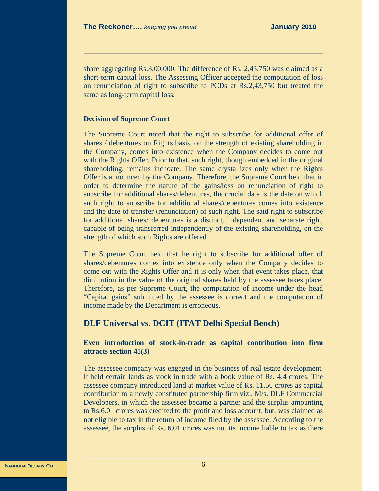share aggregating Rs.3,00,000. The difference of Rs. 2,43,750 was claimed as a short-term capital loss. The Assessing Officer accepted the computation of loss on renunciation of right to subscribe to PCDs at Rs.2,43,750 but treated the same as long-term capital loss.

# **Decision of Supreme Court**

The Supreme Court noted that the right to subscribe for additional offer of shares / debentures on Rights basis, on the strength of existing shareholding in the Company, comes into existence when the Company decides to come out with the Rights Offer. Prior to that, such right, though embedded in the original shareholding, remains inchoate. The same crystallizes only when the Rights Offer is announced by the Company. Therefore, the Supreme Court held that in order to determine the nature of the gains/loss on renunciation of right to subscribe for additional shares/debentures, the crucial date is the date on which such right to subscribe for additional shares/debentures comes into existence and the date of transfer (renunciation) of such right. The said right to subscribe for additional shares/ debentures is a distinct, independent and separate right, capable of being transferred independently of the existing shareholding, on the strength of which such Rights are offered.

The Supreme Court held that he right to subscribe for additional offer of shares/debentures comes into existence only when the Company decides to come out with the Rights Offer and it is only when that event takes place, that diminution in the value of the original shares held by the assessee takes place. Therefore, as per Supreme Court, the computation of income under the head "Capital gains" submitted by the assessee is correct and the computation of income made by the Department is erroneous.

# **DLF Universal vs. DCIT (ITAT Delhi Special Bench)**

# **Even introduction of stock-in-trade as capital contribution into firm attracts section 45(3)**

The assessee company was engaged in the business of real estate development. It held certain lands as stock in trade with a book value of Rs. 4.4 crores. The assessee company introduced land at market value of Rs. 11.50 crores as capital contribution to a newly constituted partnership firm viz., M/s. DLF Commercial Developers, in which the assessee became a partner and the surplus amounting to Rs.6.01 crores was credited to the profit and loss account, but, was claimed as not eligible to tax in the return of income filed by the assessee. According to the assessee, the surplus of Rs. 6.01 crores was not its income liable to tax as there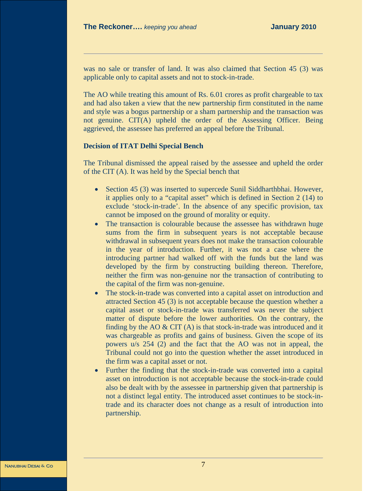was no sale or transfer of land. It was also claimed that Section 45 (3) was applicable only to capital assets and not to stock-in-trade.

The AO while treating this amount of Rs. 6.01 crores as profit chargeable to tax and had also taken a view that the new partnership firm constituted in the name and style was a bogus partnership or a sham partnership and the transaction was not genuine. CIT(A) upheld the order of the Assessing Officer. Being aggrieved, the assessee has preferred an appeal before the Tribunal.

### **Decision of ITAT Delhi Special Bench**

The Tribunal dismissed the appeal raised by the assessee and upheld the order of the CIT (A). It was held by the Special bench that

- Section 45 (3) was inserted to supercede Sunil Siddharthbhai. However, it applies only to a "capital asset" which is defined in Section 2 (14) to exclude 'stock-in-trade'. In the absence of any specific provision, tax cannot be imposed on the ground of morality or equity.
- The transaction is colourable because the assessee has withdrawn huge sums from the firm in subsequent years is not acceptable because withdrawal in subsequent years does not make the transaction colourable in the year of introduction. Further, it was not a case where the introducing partner had walked off with the funds but the land was developed by the firm by constructing building thereon. Therefore, neither the firm was non-genuine nor the transaction of contributing to the capital of the firm was non-genuine.
- The stock-in-trade was converted into a capital asset on introduction and attracted Section 45 (3) is not acceptable because the question whether a capital asset or stock-in-trade was transferred was never the subject matter of dispute before the lower authorities. On the contrary, the finding by the AO  $& CIT(A)$  is that stock-in-trade was introduced and it was chargeable as profits and gains of business. Given the scope of its powers u/s 254 (2) and the fact that the AO was not in appeal, the Tribunal could not go into the question whether the asset introduced in the firm was a capital asset or not.
- Further the finding that the stock-in-trade was converted into a capital asset on introduction is not acceptable because the stock-in-trade could also be dealt with by the assessee in partnership given that partnership is not a distinct legal entity. The introduced asset continues to be stock-intrade and its character does not change as a result of introduction into partnership.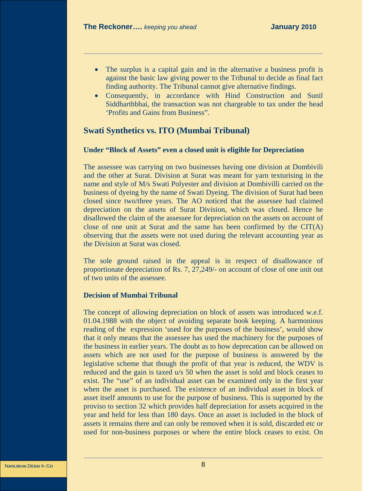- The surplus is a capital gain and in the alternative a business profit is against the basic law giving power to the Tribunal to decide as final fact finding authority. The Tribunal cannot give alternative findings.
- Consequently, in accordance with Hind Construction and Sunil Siddharthbhai, the transaction was not chargeable to tax under the head 'Profits and Gains from Business".

# **Swati Synthetics vs. ITO (Mumbai Tribunal)**

# **Under "Block of Assets" even a closed unit is eligible for Depreciation**

The assessee was carrying on two businesses having one division at Dombivili and the other at Surat. Division at Surat was meant for yarn texturising in the name and style of M/s Swati Polyester and division at Dombivilli carried on the business of dyeing by the name of Swati Dyeing. The division of Surat had been closed since two/three years. The AO noticed that the assessee had claimed depreciation on the assets of Surat Division, which was closed. Hence he disallowed the claim of the assessee for depreciation on the assets on account of close of one unit at Surat and the same has been confirmed by the  $CIT(A)$ observing that the assets were not used during the relevant accounting year as the Division at Surat was closed.

The sole ground raised in the appeal is in respect of disallowance of proportionate depreciation of Rs. 7, 27,249/- on account of close of one unit out of two units of the assessee.

# **Decision of Mumbai Tribunal**

The concept of allowing depreciation on block of assets was introduced w.e.f. 01.04.1988 with the object of avoiding separate book keeping. A harmonious reading of the expression 'used for the purposes of the business', would show that it only means that the assessee has used the machinery for the purposes of the business in earlier years. The doubt as to how deprecation can be allowed on assets which are not used for the purpose of business is answered by the legislative scheme that though the profit of that year is reduced, the WDV is reduced and the gain is taxed u/s 50 when the asset is sold and block ceases to exist. The "use" of an individual asset can be examined only in the first year when the asset is purchased. The existence of an individual asset in block of asset itself amounts to use for the purpose of business. This is supported by the proviso to section 32 which provides half depreciation for assets acquired in the year and held for less than 180 days. Once an asset is included in the block of assets it remains there and can only be removed when it is sold, discarded etc or used for non-business purposes or where the entire block ceases to exist. On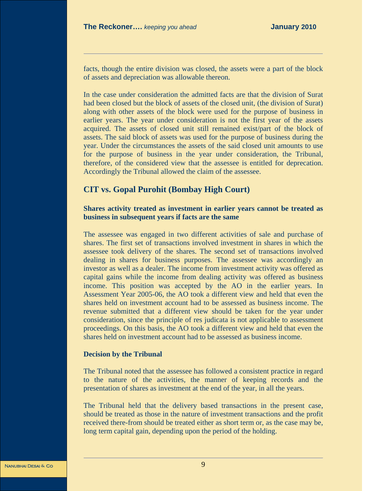facts, though the entire division was closed, the assets were a part of the block of assets and depreciation was allowable thereon.

In the case under consideration the admitted facts are that the division of Surat had been closed but the block of assets of the closed unit, (the division of Surat) along with other assets of the block were used for the purpose of business in earlier years. The year under consideration is not the first year of the assets acquired. The assets of closed unit still remained exist/part of the block of assets. The said block of assets was used for the purpose of business during the year. Under the circumstances the assets of the said closed unit amounts to use for the purpose of business in the year under consideration, the Tribunal, therefore, of the considered view that the assessee is entitled for deprecation. Accordingly the Tribunal allowed the claim of the assessee.

# **CIT vs. Gopal Purohit (Bombay High Court)**

# **Shares activity treated as investment in earlier years cannot be treated as business in subsequent years if facts are the same**

The assessee was engaged in two different activities of sale and purchase of shares. The first set of transactions involved investment in shares in which the assessee took delivery of the shares. The second set of transactions involved dealing in shares for business purposes. The assessee was accordingly an investor as well as a dealer. The income from investment activity was offered as capital gains while the income from dealing activity was offered as business income. This position was accepted by the AO in the earlier years. In Assessment Year 2005-06, the AO took a different view and held that even the shares held on investment account had to be assessed as business income. The revenue submitted that a different view should be taken for the year under consideration, since the principle of res judicata is not applicable to assessment proceedings. On this basis, the AO took a different view and held that even the shares held on investment account had to be assessed as business income.

### **Decision by the Tribunal**

The Tribunal noted that the assessee has followed a consistent practice in regard to the nature of the activities, the manner of keeping records and the presentation of shares as investment at the end of the year, in all the years.

The Tribunal held that the delivery based transactions in the present case, should be treated as those in the nature of investment transactions and the profit received there-from should be treated either as short term or, as the case may be, long term capital gain, depending upon the period of the holding.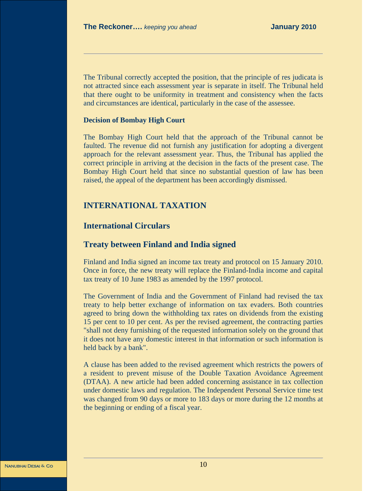The Tribunal correctly accepted the position, that the principle of res judicata is not attracted since each assessment year is separate in itself. The Tribunal held that there ought to be uniformity in treatment and consistency when the facts and circumstances are identical, particularly in the case of the assessee.

### **Decision of Bombay High Court**

The Bombay High Court held that the approach of the Tribunal cannot be faulted. The revenue did not furnish any justification for adopting a divergent approach for the relevant assessment year. Thus, the Tribunal has applied the correct principle in arriving at the decision in the facts of the present case. The Bombay High Court held that since no substantial question of law has been raised, the appeal of the department has been accordingly dismissed.

# **INTERNATIONAL TAXATION**

# **International Circulars**

# **Treaty between Finland and India signed**

Finland and India signed an income tax treaty and protocol on 15 January 2010. Once in force, the new treaty will replace the Finland-India income and capital tax treaty of 10 June 1983 as amended by the 1997 protocol.

The Government of India and the Government of Finland had revised the tax treaty to help better exchange of information on tax evaders. Both countries agreed to bring down the withholding tax rates on dividends from the existing 15 per cent to 10 per cent. As per the revised agreement, the contracting parties "shall not deny furnishing of the requested information solely on the ground that it does not have any domestic interest in that information or such information is held back by a bank".

A clause has been added to the revised agreement which restricts the powers of a resident to prevent misuse of the Double Taxation Avoidance Agreement (DTAA). A new article had been added concerning assistance in tax collection under domestic laws and regulation. The Independent Personal Service time test was changed from 90 days or more to 183 days or more during the 12 months at the beginning or ending of a fiscal year.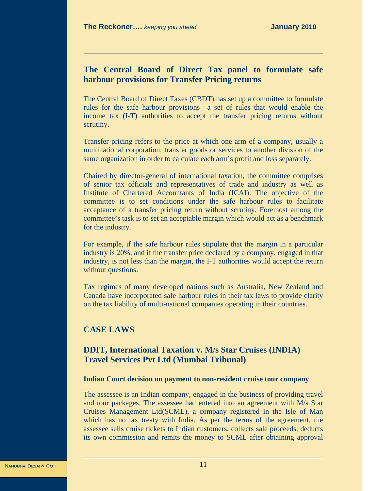# **The Central Board of Direct Tax panel to formulate safe harbour provisions for Transfer Pricing returns**

The Central Board of Direct Taxes (CBDT) has set up a committee to formulate rules for the safe harbour provisions—a set of rules that would enable the income tax (I-T) authorities to accept the transfer pricing returns without scrutiny.

Transfer pricing refers to the price at which one arm of a company, usually a multinational corporation, transfer goods or services to another division of the same organization in order to calculate each arm's profit and loss separately.

Chaired by director-general of international taxation, the committee comprises of senior tax officials and representatives of trade and industry as well as Institute of Chartered Accountants of India (ICAI). The objective of the committee is to set conditions under the safe harbour rules to facilitate acceptance of a transfer pricing return without scrutiny. Foremost among the committee's task is to set an acceptable margin which would act as a benchmark for the industry.

For example, if the safe harbour rules stipulate that the margin in a particular industry is 20%, and if the transfer price declared by a company, engaged in that industry, is not less than the margin, the I-T authorities would accept the return without questions.

Tax regimes of many developed nations such as Australia, New Zealand and Canada have incorporated safe harbour rules in their tax laws to provide clarity on the tax liability of multi-national companies operating in their countries.

# **CASE LAWS**

# **DDIT, International Taxation v. M/s Star Cruises (INDIA) Travel Services Pvt Ltd (Mumbai Tribunal)**

### **Indian Court decision on payment to non-resident cruise tour company**

The assessee is an Indian company, engaged in the business of providing travel and tour packages. The assessee had entered into an agreement with M/s Star Cruises Management Ltd(SCML), a company registered in the Isle of Man which has no tax treaty with India. As per the terms of the agreement, the assessee sells cruise tickets to Indian customers, collects sale proceeds, deducts its own commission and remits the money to SCML after obtaining approval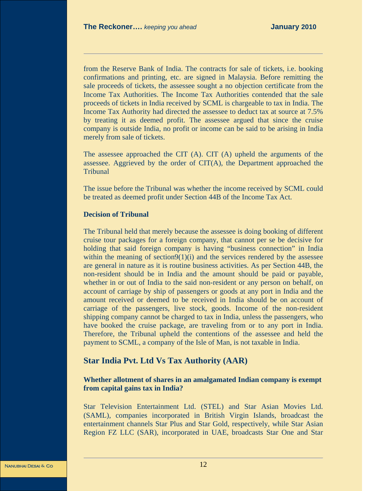from the Reserve Bank of India. The contracts for sale of tickets, i.e. booking confirmations and printing, etc. are signed in Malaysia. Before remitting the sale proceeds of tickets, the assessee sought a no objection certificate from the Income Tax Authorities. The Income Tax Authorities contended that the sale proceeds of tickets in India received by SCML is chargeable to tax in India. The Income Tax Authority had directed the assessee to deduct tax at source at 7.5% by treating it as deemed profit. The assessee argued that since the cruise company is outside India, no profit or income can be said to be arising in India merely from sale of tickets.

The assessee approached the CIT (A). CIT (A) upheld the arguments of the assessee. Aggrieved by the order of CIT(A), the Department approached the **Tribunal** 

The issue before the Tribunal was whether the income received by SCML could be treated as deemed profit under Section 44B of the Income Tax Act.

### **Decision of Tribunal**

The Tribunal held that merely because the assessee is doing booking of different cruise tour packages for a foreign company, that cannot per se be decisive for holding that said foreign company is having "business connection" in India within the meaning of section $9(1)(i)$  and the services rendered by the assessee are general in nature as it is routine business activities. As per Section 44B, the non-resident should be in India and the amount should be paid or payable, whether in or out of India to the said non-resident or any person on behalf, on account of carriage by ship of passengers or goods at any port in India and the amount received or deemed to be received in India should be on account of carriage of the passengers, live stock, goods. Income of the non-resident shipping company cannot be charged to tax in India, unless the passengers, who have booked the cruise package, are traveling from or to any port in India. Therefore, the Tribunal upheld the contentions of the assessee and held the payment to SCML, a company of the Isle of Man, is not taxable in India.

# **Star India Pvt. Ltd Vs Tax Authority (AAR)**

# **Whether allotment of shares in an amalgamated Indian company is exempt from capital gains tax in India?**

Star Television Entertainment Ltd. (STEL) and Star Asian Movies Ltd. (SAML), companies incorporated in British Virgin Islands, broadcast the entertainment channels Star Plus and Star Gold, respectively, while Star Asian Region FZ LLC (SAR), incorporated in UAE, broadcasts Star One and Star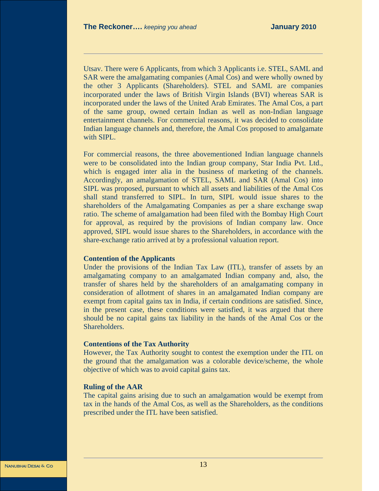Utsav. There were 6 Applicants, from which 3 Applicants i.e. STEL, SAML and SAR were the amalgamating companies (Amal Cos) and were wholly owned by the other 3 Applicants (Shareholders). STEL and SAML are companies incorporated under the laws of British Virgin Islands (BVI) whereas SAR is incorporated under the laws of the United Arab Emirates. The Amal Cos, a part of the same group, owned certain Indian as well as non-Indian language entertainment channels. For commercial reasons, it was decided to consolidate Indian language channels and, therefore, the Amal Cos proposed to amalgamate with SIPL.

For commercial reasons, the three abovementioned Indian language channels were to be consolidated into the Indian group company, Star India Pvt. Ltd., which is engaged inter alia in the business of marketing of the channels. Accordingly, an amalgamation of STEL, SAML and SAR (Amal Cos) into SIPL was proposed, pursuant to which all assets and liabilities of the Amal Cos shall stand transferred to SIPL. In turn, SIPL would issue shares to the shareholders of the Amalgamating Companies as per a share exchange swap ratio. The scheme of amalgamation had been filed with the Bombay High Court for approval, as required by the provisions of Indian company law. Once approved, SIPL would issue shares to the Shareholders, in accordance with the share-exchange ratio arrived at by a professional valuation report.

### **Contention of the Applicants**

Under the provisions of the Indian Tax Law (ITL), transfer of assets by an amalgamating company to an amalgamated Indian company and, also, the transfer of shares held by the shareholders of an amalgamating company in consideration of allotment of shares in an amalgamated Indian company are exempt from capital gains tax in India, if certain conditions are satisfied. Since, in the present case, these conditions were satisfied, it was argued that there should be no capital gains tax liability in the hands of the Amal Cos or the Shareholders.

### **Contentions of the Tax Authority**

However, the Tax Authority sought to contest the exemption under the ITL on the ground that the amalgamation was a colorable device/scheme, the whole objective of which was to avoid capital gains tax.

### **Ruling of the AAR**

The capital gains arising due to such an amalgamation would be exempt from tax in the hands of the Amal Cos, as well as the Shareholders, as the conditions prescribed under the ITL have been satisfied.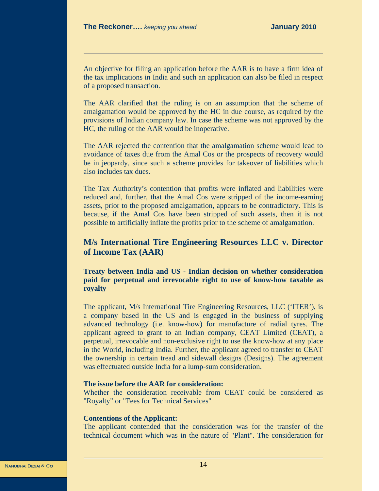An objective for filing an application before the AAR is to have a firm idea of the tax implications in India and such an application can also be filed in respect of a proposed transaction.

The AAR clarified that the ruling is on an assumption that the scheme of amalgamation would be approved by the HC in due course, as required by the provisions of Indian company law. In case the scheme was not approved by the HC, the ruling of the AAR would be inoperative.

The AAR rejected the contention that the amalgamation scheme would lead to avoidance of taxes due from the Amal Cos or the prospects of recovery would be in jeopardy, since such a scheme provides for takeover of liabilities which also includes tax dues.

The Tax Authority's contention that profits were inflated and liabilities were reduced and, further, that the Amal Cos were stripped of the income-earning assets, prior to the proposed amalgamation, appears to be contradictory. This is because, if the Amal Cos have been stripped of such assets, then it is not possible to artificially inflate the profits prior to the scheme of amalgamation.

# **M/s International Tire Engineering Resources LLC v. Director of Income Tax (AAR)**

**Treaty between India and US - Indian decision on whether consideration paid for perpetual and irrevocable right to use of know-how taxable as royalty**

The applicant, M/s International Tire Engineering Resources, LLC ('ITER'), is a company based in the US and is engaged in the business of supplying advanced technology (i.e. know-how) for manufacture of radial tyres. The applicant agreed to grant to an Indian company, CEAT Limited (CEAT), a perpetual, irrevocable and non-exclusive right to use the know-how at any place in the World, including India. Further, the applicant agreed to transfer to CEAT the ownership in certain tread and sidewall designs (Designs). The agreement was effectuated outside India for a lump-sum consideration.

### **The issue before the AAR for consideration:**

Whether the consideration receivable from CEAT could be considered as "Royalty" or "Fees for Technical Services"

### **Contentions of the Applicant:**

The applicant contended that the consideration was for the transfer of the technical document which was in the nature of "Plant". The consideration for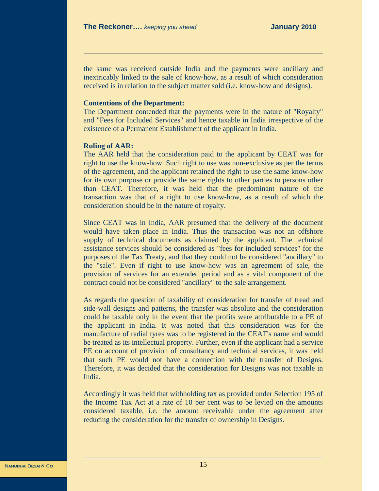the same was received outside India and the payments were ancillary and inextricably linked to the sale of know-how, as a result of which consideration received is in relation to the subject matter sold (i.e. know-how and designs).

### **Contentions of the Department:**

The Department contended that the payments were in the nature of "Royalty" and "Fees for Included Services" and hence taxable in India irrespective of the existence of a Permanent Establishment of the applicant in India.

### **Ruling of AAR:**

The AAR held that the consideration paid to the applicant by CEAT was for right to use the know-how. Such right to use was non-exclusive as per the terms of the agreement, and the applicant retained the right to use the same know-how for its own purpose or provide the same rights to other parties to persons other than CEAT. Therefore, it was held that the predominant nature of the transaction was that of a right to use know-how, as a result of which the consideration should be in the nature of royalty.

Since CEAT was in India, AAR presumed that the delivery of the document would have taken place in India. Thus the transaction was not an offshore supply of technical documents as claimed by the applicant. The technical assistance services should be considered as "fees for included services" for the purposes of the Tax Treaty, and that they could not be considered "ancillary" to the "sale". Even if right to use know-how was an agreement of sale, the provision of services for an extended period and as a vital component of the contract could not be considered "ancillary" to the sale arrangement.

As regards the question of taxability of consideration for transfer of tread and side-wall designs and patterns, the transfer was absolute and the consideration could be taxable only in the event that the profits were attributable to a PE of the applicant in India. It was noted that this consideration was for the manufacture of radial tyres was to be registered in the CEAT's name and would be treated as its intellectual property. Further, even if the applicant had a service PE on account of provision of consultancy and technical services, it was held that such PE would not have a connection with the transfer of Designs. Therefore, it was decided that the consideration for Designs was not taxable in India.

Accordingly it was held that withholding tax as provided under Selection 195 of the Income Tax Act at a rate of 10 per cent was to be levied on the amounts considered taxable, i.e. the amount receivable under the agreement after reducing the consideration for the transfer of ownership in Designs.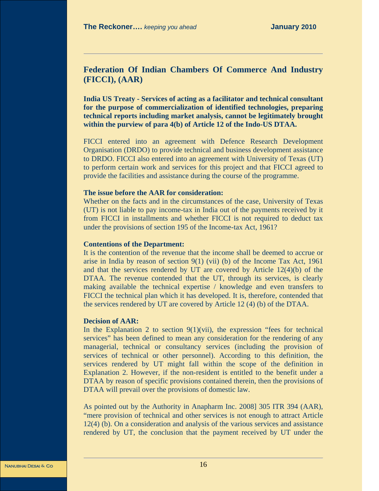# **Federation Of Indian Chambers Of Commerce And Industry (FICCI), (AAR)**

**India US Treaty - Services of acting as a facilitator and technical consultant for the purpose of commercialization of identified technologies, preparing technical reports including market analysis, cannot be legitimately brought within the purview of para 4(b) of Article 12 of the Indo-US DTAA.** 

FICCI entered into an agreement with Defence Research Development Organisation (DRDO) to provide technical and business development assistance to DRDO. FICCI also entered into an agreement with University of Texas (UT) to perform certain work and services for this project and that FICCI agreed to provide the facilities and assistance during the course of the programme.

### **The issue before the AAR for consideration:**

Whether on the facts and in the circumstances of the case, University of Texas (UT) is not liable to pay income-tax in India out of the payments received by it from FICCI in installments and whether FICCI is not required to deduct tax under the provisions of section 195 of the Income-tax Act, 1961?

### **Contentions of the Department:**

It is the contention of the revenue that the income shall be deemed to accrue or arise in India by reason of section 9(1) (vii) (b) of the Income Tax Act, 1961 and that the services rendered by UT are covered by Article 12(4)(b) of the DTAA. The revenue contended that the UT, through its services, is clearly making available the technical expertise / knowledge and even transfers to FICCI the technical plan which it has developed. It is, therefore, contended that the services rendered by UT are covered by Article 12 (4) (b) of the DTAA.

# **Decision of AAR:**

In the Explanation 2 to section 9(1)(vii), the expression "fees for technical services" has been defined to mean any consideration for the rendering of any managerial, technical or consultancy services (including the provision of services of technical or other personnel). According to this definition, the services rendered by UT might fall within the scope of the definition in Explanation 2. However, if the non-resident is entitled to the benefit under a DTAA by reason of specific provisions contained therein, then the provisions of DTAA will prevail over the provisions of domestic law.

As pointed out by the Authority in Anapharm Inc. 2008] 305 ITR 394 (AAR), "mere provision of technical and other services is not enough to attract Article 12(4) (b). On a consideration and analysis of the various services and assistance rendered by UT, the conclusion that the payment received by UT under the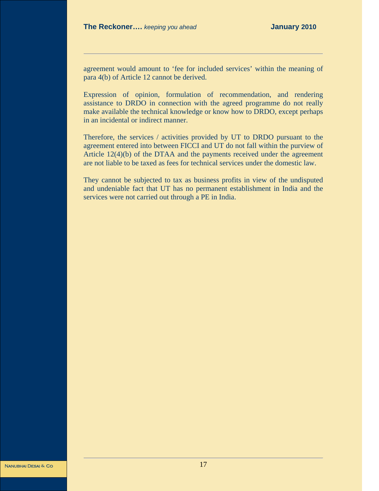agreement would amount to 'fee for included services' within the meaning of para 4(b) of Article 12 cannot be derived.

Expression of opinion, formulation of recommendation, and rendering assistance to DRDO in connection with the agreed programme do not really make available the technical knowledge or know how to DRDO, except perhaps in an incidental or indirect manner.

Therefore, the services / activities provided by UT to DRDO pursuant to the agreement entered into between FICCI and UT do not fall within the purview of Article 12(4)(b) of the DTAA and the payments received under the agreement are not liable to be taxed as fees for technical services under the domestic law.

They cannot be subjected to tax as business profits in view of the undisputed and undeniable fact that UT has no permanent establishment in India and the services were not carried out through a PE in India.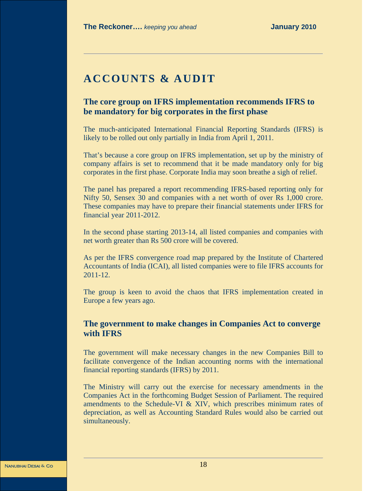# **ACCOUNTS & AUDIT**

# **The core group on IFRS implementation recommends IFRS to be mandatory for big corporates in the first phase**

The much-anticipated International Financial Reporting Standards (IFRS) is likely to be rolled out only partially in India from April 1, 2011.

That's because a core group on IFRS implementation, set up by the ministry of company affairs is set to recommend that it be made mandatory only for big corporates in the first phase. Corporate India may soon breathe a sigh of relief.

The panel has prepared a report recommending IFRS-based reporting only for Nifty 50, Sensex 30 and companies with a net worth of over Rs 1,000 crore. These companies may have to prepare their financial statements under IFRS for financial year 2011-2012.

In the second phase starting 2013-14, all listed companies and companies with net worth greater than Rs 500 crore will be covered.

As per the IFRS convergence road map prepared by the Institute of Chartered Accountants of India (ICAI), all listed companies were to file IFRS accounts for 2011-12.

The group is keen to avoid the chaos that IFRS implementation created in Europe a few years ago.

# **The government to make changes in Companies Act to converge with IFRS**

The government will make necessary changes in the new Companies Bill to facilitate convergence of the Indian accounting norms with the international financial reporting standards (IFRS) by 2011.

The Ministry will carry out the exercise for necessary amendments in the Companies Act in the forthcoming Budget Session of Parliament. The required amendments to the Schedule-VI & XIV, which prescribes minimum rates of depreciation, as well as Accounting Standard Rules would also be carried out simultaneously.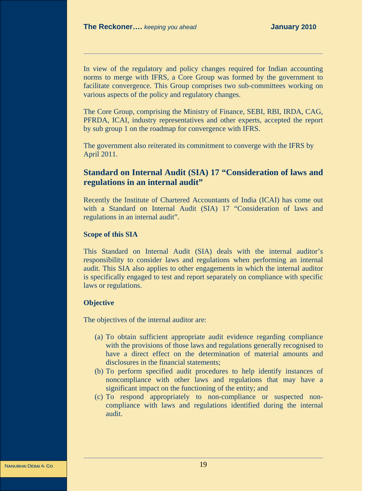In view of the regulatory and policy changes required for Indian accounting norms to merge with IFRS, a Core Group was formed by the government to facilitate convergence. This Group comprises two sub-committees working on various aspects of the policy and regulatory changes.

The Core Group, comprising the Ministry of Finance, SEBI, RBI, IRDA, CAG, PFRDA, ICAI, industry representatives and other experts, accepted the report by sub group 1 on the roadmap for convergence with IFRS.

The government also reiterated its commitment to converge with the IFRS by April 2011.

# **Standard on Internal Audit (SIA) 17 "Consideration of laws and regulations in an internal audit"**

Recently the Institute of Chartered Accountants of India (ICAI) has come out with a Standard on Internal Audit (SIA) 17 "Consideration of laws and regulations in an internal audit".

### **Scope of this SIA**

This Standard on Internal Audit (SIA) deals with the internal auditor's responsibility to consider laws and regulations when performing an internal audit. This SIA also applies to other engagements in which the internal auditor is specifically engaged to test and report separately on compliance with specific laws or regulations.

### **Objective**

The objectives of the internal auditor are:

- (a) To obtain sufficient appropriate audit evidence regarding compliance with the provisions of those laws and regulations generally recognised to have a direct effect on the determination of material amounts and disclosures in the financial statements;
- (b) To perform specified audit procedures to help identify instances of noncompliance with other laws and regulations that may have a significant impact on the functioning of the entity; and
- (c) To respond appropriately to non-compliance or suspected noncompliance with laws and regulations identified during the internal audit.